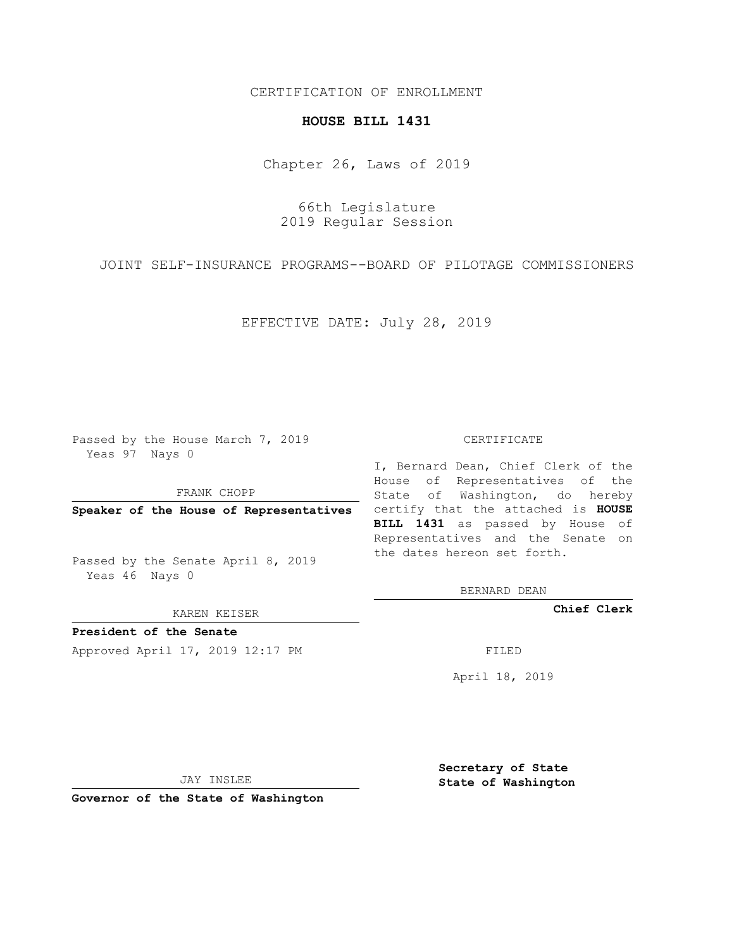## CERTIFICATION OF ENROLLMENT

## **HOUSE BILL 1431**

Chapter 26, Laws of 2019

66th Legislature 2019 Regular Session

JOINT SELF-INSURANCE PROGRAMS--BOARD OF PILOTAGE COMMISSIONERS

EFFECTIVE DATE: July 28, 2019

Passed by the House March 7, 2019 Yeas 97 Nays 0

FRANK CHOPP

Passed by the Senate April 8, 2019 Yeas 46 Nays 0

KAREN KEISER

**President of the Senate**

Approved April 17, 2019 12:17 PM FILED

## CERTIFICATE

**Speaker of the House of Representatives** certify that the attached is **HOUSE** I, Bernard Dean, Chief Clerk of the House of Representatives of the State of Washington, do hereby **BILL 1431** as passed by House of Representatives and the Senate on the dates hereon set forth.

BERNARD DEAN

**Chief Clerk**

April 18, 2019

JAY INSLEE

**Governor of the State of Washington**

**Secretary of State State of Washington**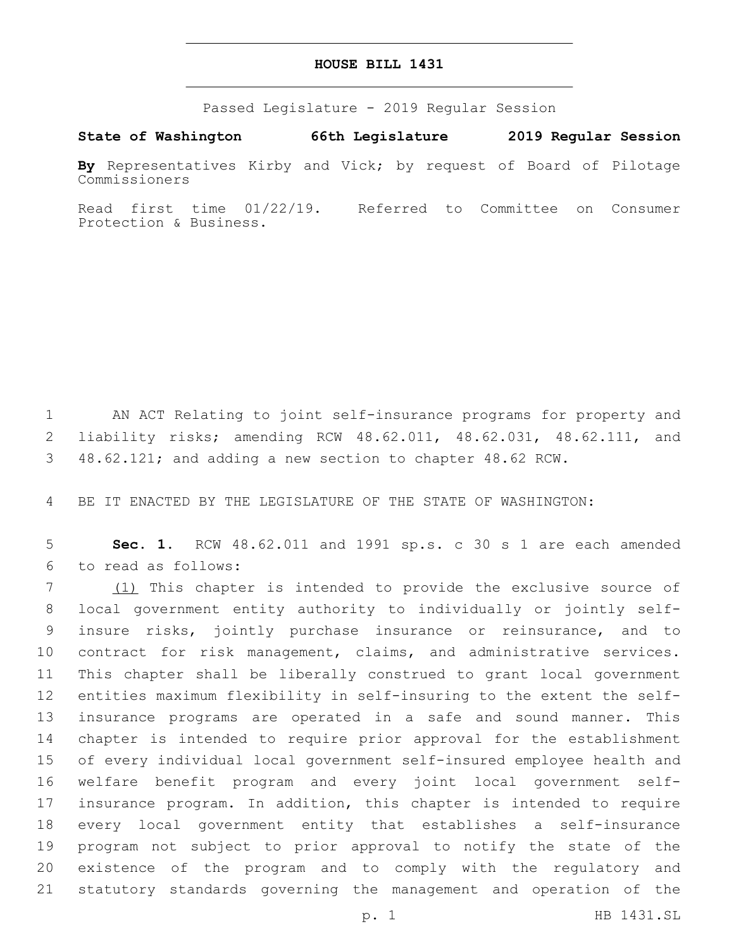## **HOUSE BILL 1431**

Passed Legislature - 2019 Regular Session

**State of Washington 66th Legislature 2019 Regular Session**

**By** Representatives Kirby and Vick; by request of Board of Pilotage Commissioners

Read first time 01/22/19. Referred to Committee on Consumer Protection & Business.

 AN ACT Relating to joint self-insurance programs for property and liability risks; amending RCW 48.62.011, 48.62.031, 48.62.111, and 48.62.121; and adding a new section to chapter 48.62 RCW.

BE IT ENACTED BY THE LEGISLATURE OF THE STATE OF WASHINGTON:

 **Sec. 1.** RCW 48.62.011 and 1991 sp.s. c 30 s 1 are each amended to read as follows:6

 (1) This chapter is intended to provide the exclusive source of local government entity authority to individually or jointly self- insure risks, jointly purchase insurance or reinsurance, and to contract for risk management, claims, and administrative services. This chapter shall be liberally construed to grant local government entities maximum flexibility in self-insuring to the extent the self- insurance programs are operated in a safe and sound manner. This chapter is intended to require prior approval for the establishment of every individual local government self-insured employee health and welfare benefit program and every joint local government self- insurance program. In addition, this chapter is intended to require every local government entity that establishes a self-insurance program not subject to prior approval to notify the state of the existence of the program and to comply with the regulatory and statutory standards governing the management and operation of the

p. 1 HB 1431.SL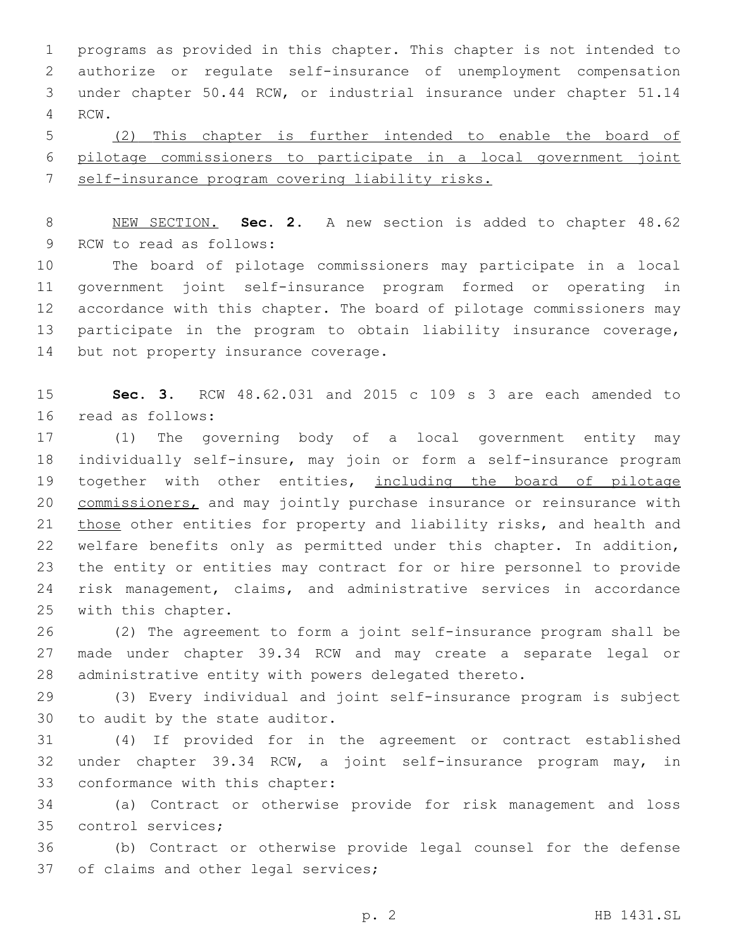programs as provided in this chapter. This chapter is not intended to authorize or regulate self-insurance of unemployment compensation under chapter 50.44 RCW, or industrial insurance under chapter 51.14 4 RCW.

 (2) This chapter is further intended to enable the board of pilotage commissioners to participate in a local government joint self-insurance program covering liability risks.

 NEW SECTION. **Sec. 2.** A new section is added to chapter 48.62 9 RCW to read as follows:

 The board of pilotage commissioners may participate in a local government joint self-insurance program formed or operating in accordance with this chapter. The board of pilotage commissioners may participate in the program to obtain liability insurance coverage, 14 but not property insurance coverage.

 **Sec. 3.** RCW 48.62.031 and 2015 c 109 s 3 are each amended to 16 read as follows:

 (1) The governing body of a local government entity may individually self-insure, may join or form a self-insurance program 19 together with other entities, including the board of pilotage commissioners, and may jointly purchase insurance or reinsurance with 21 those other entities for property and liability risks, and health and welfare benefits only as permitted under this chapter. In addition, the entity or entities may contract for or hire personnel to provide risk management, claims, and administrative services in accordance 25 with this chapter.

 (2) The agreement to form a joint self-insurance program shall be made under chapter 39.34 RCW and may create a separate legal or administrative entity with powers delegated thereto.

 (3) Every individual and joint self-insurance program is subject 30 to audit by the state auditor.

 (4) If provided for in the agreement or contract established under chapter 39.34 RCW, a joint self-insurance program may, in 33 conformance with this chapter:

 (a) Contract or otherwise provide for risk management and loss 35 control services:

 (b) Contract or otherwise provide legal counsel for the defense 37 of claims and other legal services;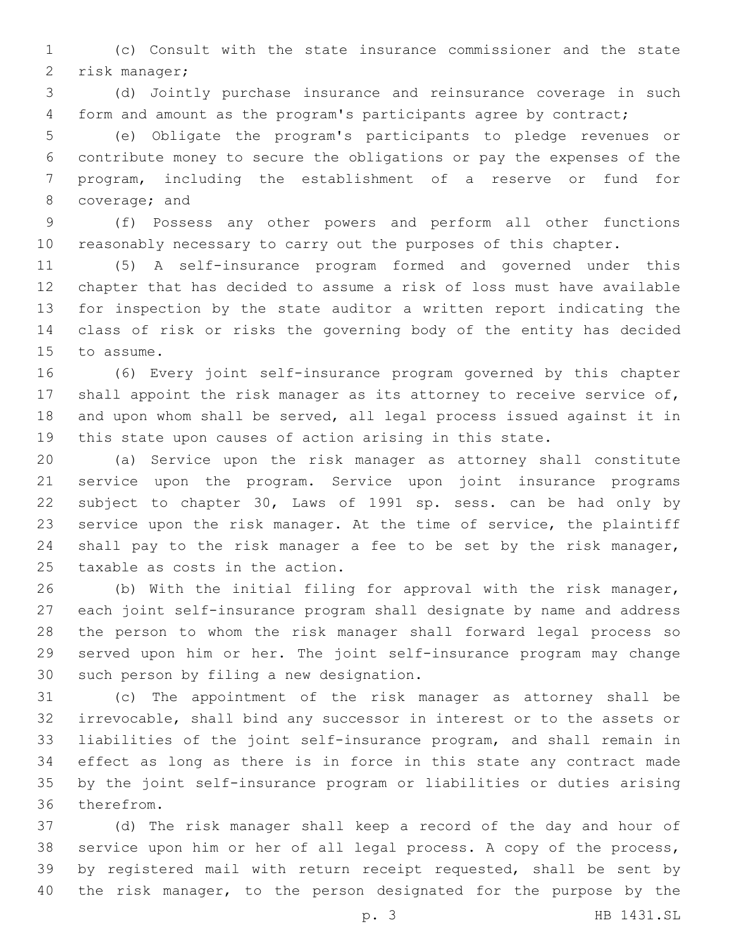(c) Consult with the state insurance commissioner and the state 2 risk manager;

 (d) Jointly purchase insurance and reinsurance coverage in such form and amount as the program's participants agree by contract;

 (e) Obligate the program's participants to pledge revenues or contribute money to secure the obligations or pay the expenses of the program, including the establishment of a reserve or fund for 8 coverage; and

 (f) Possess any other powers and perform all other functions reasonably necessary to carry out the purposes of this chapter.

 (5) A self-insurance program formed and governed under this chapter that has decided to assume a risk of loss must have available for inspection by the state auditor a written report indicating the class of risk or risks the governing body of the entity has decided 15 to assume.

 (6) Every joint self-insurance program governed by this chapter 17 shall appoint the risk manager as its attorney to receive service of, and upon whom shall be served, all legal process issued against it in this state upon causes of action arising in this state.

 (a) Service upon the risk manager as attorney shall constitute service upon the program. Service upon joint insurance programs subject to chapter 30, Laws of 1991 sp. sess. can be had only by service upon the risk manager. At the time of service, the plaintiff shall pay to the risk manager a fee to be set by the risk manager, 25 taxable as costs in the action.

 (b) With the initial filing for approval with the risk manager, each joint self-insurance program shall designate by name and address the person to whom the risk manager shall forward legal process so served upon him or her. The joint self-insurance program may change 30 such person by filing a new designation.

 (c) The appointment of the risk manager as attorney shall be irrevocable, shall bind any successor in interest or to the assets or liabilities of the joint self-insurance program, and shall remain in effect as long as there is in force in this state any contract made by the joint self-insurance program or liabilities or duties arising 36 therefrom.

 (d) The risk manager shall keep a record of the day and hour of service upon him or her of all legal process. A copy of the process, by registered mail with return receipt requested, shall be sent by the risk manager, to the person designated for the purpose by the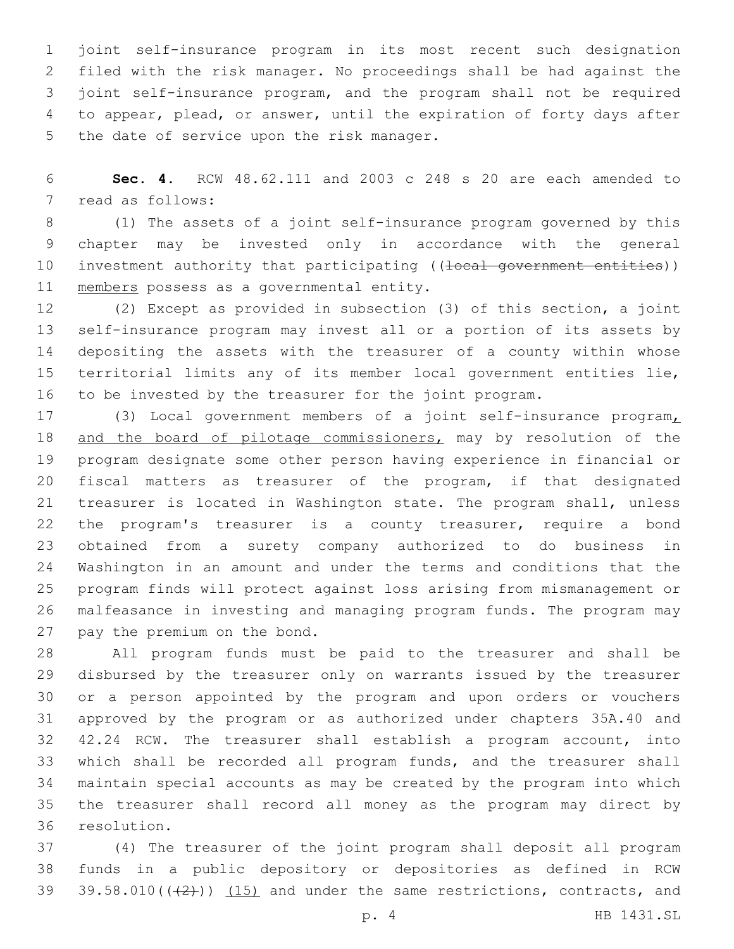joint self-insurance program in its most recent such designation filed with the risk manager. No proceedings shall be had against the joint self-insurance program, and the program shall not be required to appear, plead, or answer, until the expiration of forty days after 5 the date of service upon the risk manager.

 **Sec. 4.** RCW 48.62.111 and 2003 c 248 s 20 are each amended to 7 read as follows:

 (1) The assets of a joint self-insurance program governed by this chapter may be invested only in accordance with the general 10 investment authority that participating ((local government entities)) 11 members possess as a governmental entity.

 (2) Except as provided in subsection (3) of this section, a joint self-insurance program may invest all or a portion of its assets by depositing the assets with the treasurer of a county within whose territorial limits any of its member local government entities lie, to be invested by the treasurer for the joint program.

17 (3) Local government members of a joint self-insurance program 18 and the board of pilotage commissioners, may by resolution of the program designate some other person having experience in financial or fiscal matters as treasurer of the program, if that designated treasurer is located in Washington state. The program shall, unless the program's treasurer is a county treasurer, require a bond obtained from a surety company authorized to do business in Washington in an amount and under the terms and conditions that the program finds will protect against loss arising from mismanagement or malfeasance in investing and managing program funds. The program may 27 pay the premium on the bond.

 All program funds must be paid to the treasurer and shall be disbursed by the treasurer only on warrants issued by the treasurer or a person appointed by the program and upon orders or vouchers approved by the program or as authorized under chapters 35A.40 and 42.24 RCW. The treasurer shall establish a program account, into which shall be recorded all program funds, and the treasurer shall maintain special accounts as may be created by the program into which the treasurer shall record all money as the program may direct by 36 resolution.

 (4) The treasurer of the joint program shall deposit all program funds in a public depository or depositories as defined in RCW 39 39.58.010( $(2)$ ))  $(15)$  and under the same restrictions, contracts, and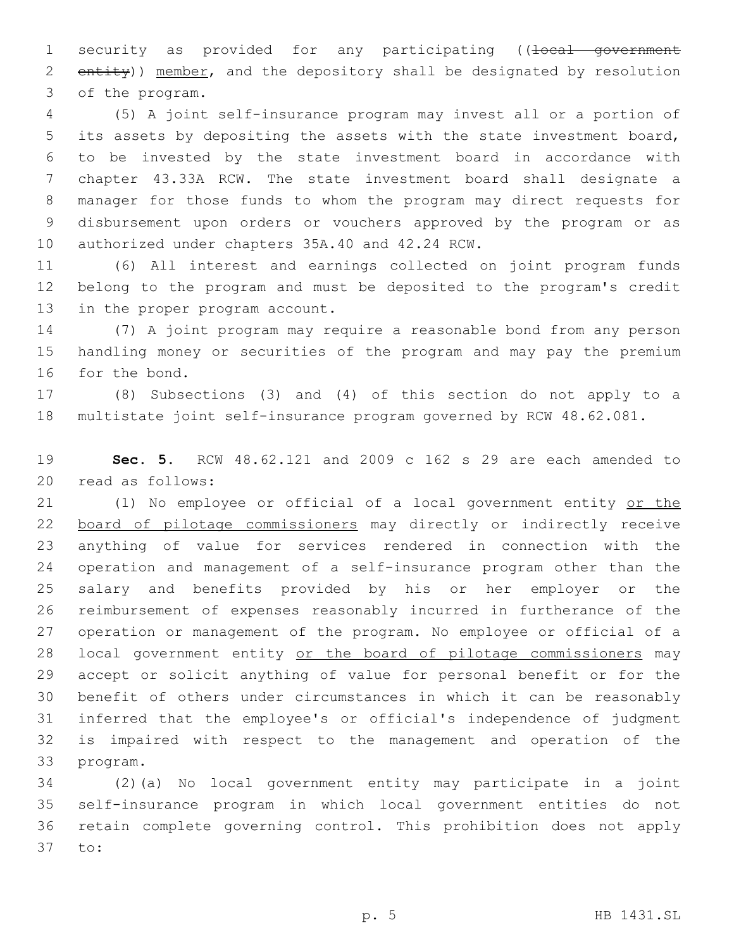1 security as provided for any participating ((local government 2 entity)) member, and the depository shall be designated by resolution 3 of the program.

 (5) A joint self-insurance program may invest all or a portion of its assets by depositing the assets with the state investment board, to be invested by the state investment board in accordance with chapter 43.33A RCW. The state investment board shall designate a manager for those funds to whom the program may direct requests for disbursement upon orders or vouchers approved by the program or as 10 authorized under chapters 35A.40 and 42.24 RCW.

 (6) All interest and earnings collected on joint program funds belong to the program and must be deposited to the program's credit 13 in the proper program account.

 (7) A joint program may require a reasonable bond from any person handling money or securities of the program and may pay the premium 16 for the bond.

 (8) Subsections (3) and (4) of this section do not apply to a multistate joint self-insurance program governed by RCW 48.62.081.

 **Sec. 5.** RCW 48.62.121 and 2009 c 162 s 29 are each amended to 20 read as follows:

 (1) No employee or official of a local government entity or the board of pilotage commissioners may directly or indirectly receive anything of value for services rendered in connection with the operation and management of a self-insurance program other than the salary and benefits provided by his or her employer or the reimbursement of expenses reasonably incurred in furtherance of the operation or management of the program. No employee or official of a local government entity or the board of pilotage commissioners may accept or solicit anything of value for personal benefit or for the benefit of others under circumstances in which it can be reasonably inferred that the employee's or official's independence of judgment is impaired with respect to the management and operation of the 33 program.

 (2)(a) No local government entity may participate in a joint self-insurance program in which local government entities do not retain complete governing control. This prohibition does not apply 37 to: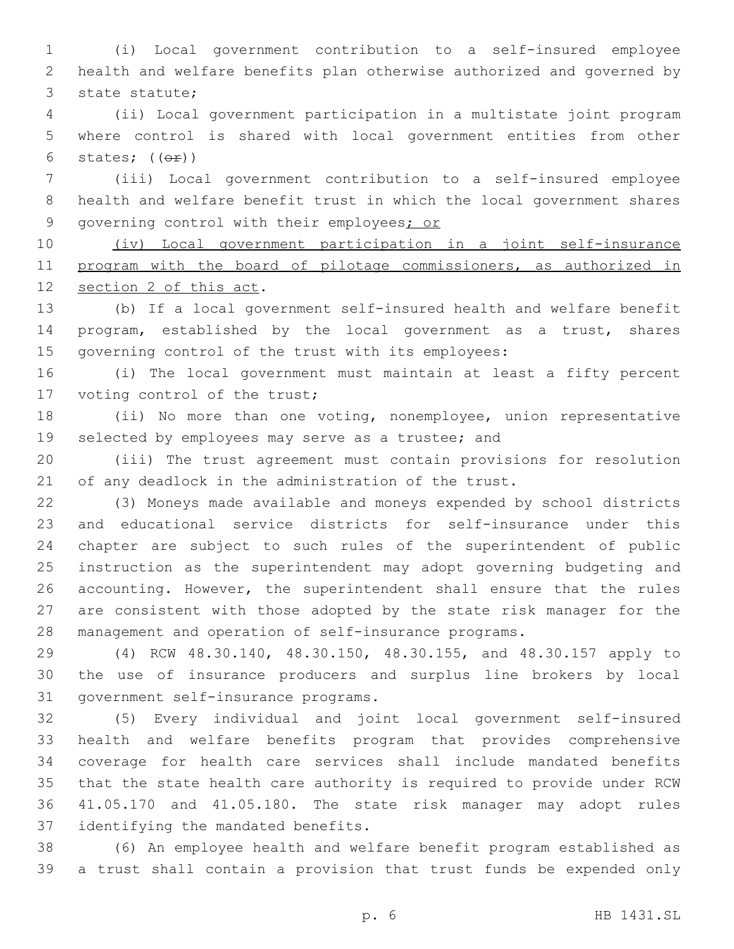(i) Local government contribution to a self-insured employee health and welfare benefits plan otherwise authorized and governed by 3 state statute;

 (ii) Local government participation in a multistate joint program where control is shared with local government entities from other 6 states;  $((\theta \oplus))$ 

 (iii) Local government contribution to a self-insured employee health and welfare benefit trust in which the local government shares 9 governing control with their employees; or

 (iv) Local government participation in a joint self-insurance 11 program with the board of pilotage commissioners, as authorized in 12 section 2 of this act.

 (b) If a local government self-insured health and welfare benefit program, established by the local government as a trust, shares governing control of the trust with its employees:

 (i) The local government must maintain at least a fifty percent 17 voting control of the trust;

 (ii) No more than one voting, nonemployee, union representative 19 selected by employees may serve as a trustee; and

 (iii) The trust agreement must contain provisions for resolution of any deadlock in the administration of the trust.

 (3) Moneys made available and moneys expended by school districts and educational service districts for self-insurance under this chapter are subject to such rules of the superintendent of public instruction as the superintendent may adopt governing budgeting and accounting. However, the superintendent shall ensure that the rules are consistent with those adopted by the state risk manager for the management and operation of self-insurance programs.

 (4) RCW 48.30.140, 48.30.150, 48.30.155, and 48.30.157 apply to the use of insurance producers and surplus line brokers by local 31 government self-insurance programs.

 (5) Every individual and joint local government self-insured health and welfare benefits program that provides comprehensive coverage for health care services shall include mandated benefits that the state health care authority is required to provide under RCW 41.05.170 and 41.05.180. The state risk manager may adopt rules 37 identifying the mandated benefits.

 (6) An employee health and welfare benefit program established as a trust shall contain a provision that trust funds be expended only